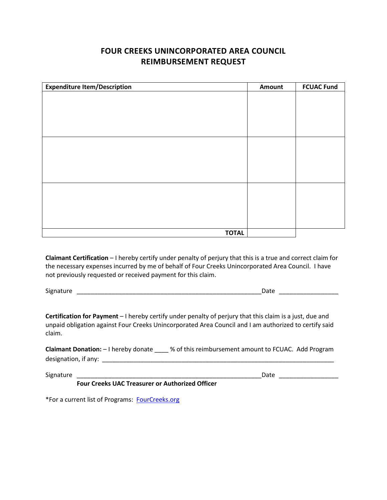## **FOUR CREEKS UNINCORPORATED AREA COUNCIL REIMBURSEMENT REQUEST**

| <b>Expenditure Item/Description</b> | Amount | <b>FCUAC Fund</b> |
|-------------------------------------|--------|-------------------|
|                                     |        |                   |
|                                     |        |                   |
|                                     |        |                   |
|                                     |        |                   |
|                                     |        |                   |
|                                     |        |                   |
|                                     |        |                   |
|                                     |        |                   |
|                                     |        |                   |
|                                     |        |                   |
|                                     |        |                   |
|                                     |        |                   |
| <b>TOTAL</b>                        |        |                   |

**Claimant Certification** – I hereby certify under penalty of perjury that this is a true and correct claim for the necessary expenses incurred by me of behalf of Four Creeks Unincorporated Area Council. I have not previously requested or received payment for this claim.

Signature \_\_\_\_\_\_\_\_\_\_\_\_\_\_\_\_\_\_\_\_\_\_\_\_\_\_\_\_\_\_\_\_\_\_\_\_\_\_\_\_\_\_\_\_\_\_\_\_\_\_\_\_\_Date \_\_\_\_\_\_\_\_\_\_\_\_\_\_\_\_\_

**Certification for Payment** – I hereby certify under penalty of perjury that this claim is a just, due and unpaid obligation against Four Creeks Unincorporated Area Council and I am authorized to certify said claim.

**Claimant Donation:** – I hereby donate \_\_\_\_ % of this reimbursement amount to FCUAC. Add Program designation, if any: \_\_\_\_\_\_\_\_\_\_\_\_\_\_\_\_\_\_\_\_\_\_\_\_\_\_\_\_\_\_\_\_\_\_\_\_\_\_\_\_\_\_\_\_\_\_\_\_\_\_\_\_\_\_\_\_\_\_\_\_\_\_\_\_\_\_\_

Signature \_\_\_\_\_\_\_\_\_\_\_\_\_\_\_\_\_\_\_\_\_\_\_\_\_\_\_\_\_\_\_\_\_\_\_\_\_\_\_\_\_\_\_\_\_\_\_\_\_\_\_\_\_Date \_\_\_\_\_\_\_\_\_\_\_\_\_\_\_\_\_

**Four Creeks UAC Treasurer or Authorized Officer**

\*For a current list of Programs: [FourCreeks.org](http://fourcreeks.org/)